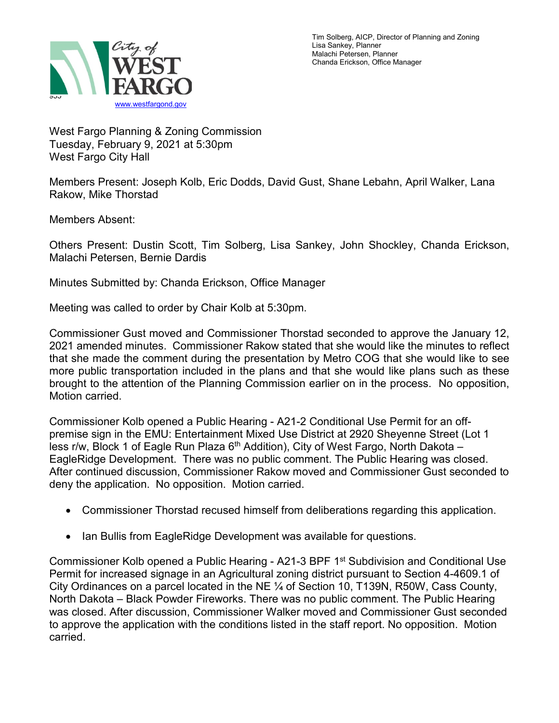

Tim Solberg, AICP, Director of Planning and Zoning Lisa Sankey, Planner Malachi Petersen, Planner Chanda Erickson, Office Manager

West Fargo Planning & Zoning Commission Tuesday, February 9, 2021 at 5:30pm West Fargo City Hall

Members Present: Joseph Kolb, Eric Dodds, David Gust, Shane Lebahn, April Walker, Lana Rakow, Mike Thorstad

Members Absent:

Others Present: Dustin Scott, Tim Solberg, Lisa Sankey, John Shockley, Chanda Erickson, Malachi Petersen, Bernie Dardis

Minutes Submitted by: Chanda Erickson, Office Manager

Meeting was called to order by Chair Kolb at 5:30pm.

Commissioner Gust moved and Commissioner Thorstad seconded to approve the January 12, 2021 amended minutes. Commissioner Rakow stated that she would like the minutes to reflect that she made the comment during the presentation by Metro COG that she would like to see more public transportation included in the plans and that she would like plans such as these brought to the attention of the Planning Commission earlier on in the process. No opposition, Motion carried.

Commissioner Kolb opened a Public Hearing - A21-2 Conditional Use Permit for an offpremise sign in the EMU: Entertainment Mixed Use District at 2920 Sheyenne Street (Lot 1 less r/w, Block 1 of Eagle Run Plaza  $6<sup>th</sup>$  Addition), City of West Fargo, North Dakota – EagleRidge Development. There was no public comment. The Public Hearing was closed. After continued discussion, Commissioner Rakow moved and Commissioner Gust seconded to deny the application. No opposition. Motion carried.

- Commissioner Thorstad recused himself from deliberations regarding this application.
- Ian Bullis from EagleRidge Development was available for questions.

Commissioner Kolb opened a Public Hearing - A21-3 BPF 1<sup>st</sup> Subdivision and Conditional Use Permit for increased signage in an Agricultural zoning district pursuant to Section 4-4609.1 of City Ordinances on a parcel located in the NE ¼ of Section 10, T139N, R50W, Cass County, North Dakota – Black Powder Fireworks. There was no public comment. The Public Hearing was closed. After discussion, Commissioner Walker moved and Commissioner Gust seconded to approve the application with the conditions listed in the staff report. No opposition. Motion carried.